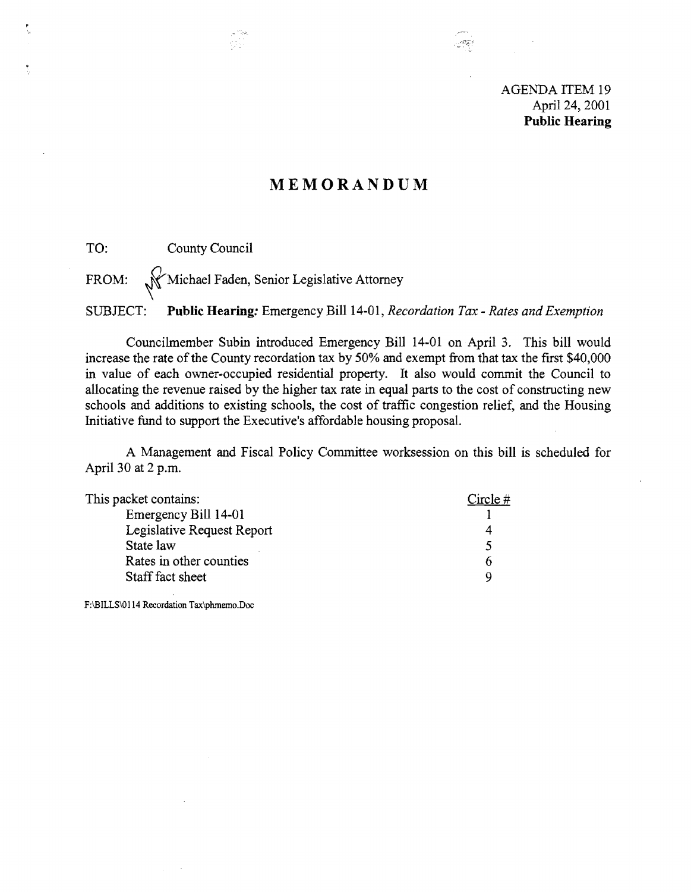AGENDA ITEM 19 April 24, 2001 **Public Hearing** 

## **MEMORANDUM**

TO: County Council

FROM: Wichael Faden, Senior Legislative Attorney

SUBJECT: **Public Hearing:** Emergency Bill 14-01, *Recordation Tax* - *Rates and Exemption* 

Councilmember Subin introduced Emergency Bill 14-01 on April 3. This bill would increase the rate of the County recordation tax by 50% and exempt from that tax the first \$40,000 in value of each owner-occupied residential property. It also would commit the Council to allocating the revenue raised by the higher tax rate in equal parts to the cost of constructing new schools and additions to existing schools, the cost of traffic congestion relief, and the Housing Initiative fund to support the Executive's affordable housing proposaL

A Management and Fiscal Policy Committee worksession on this bill is scheduled for April 30 at 2 p.m.

| This packet contains:      | Circle $#$ |
|----------------------------|------------|
| Emergency Bill 14-01       |            |
| Legislative Request Report |            |
| State law                  |            |
| Rates in other counties    |            |
| Staff fact sheet           |            |
|                            |            |

F:\BILLS\0114 Recordation Tax\phmemo.Doc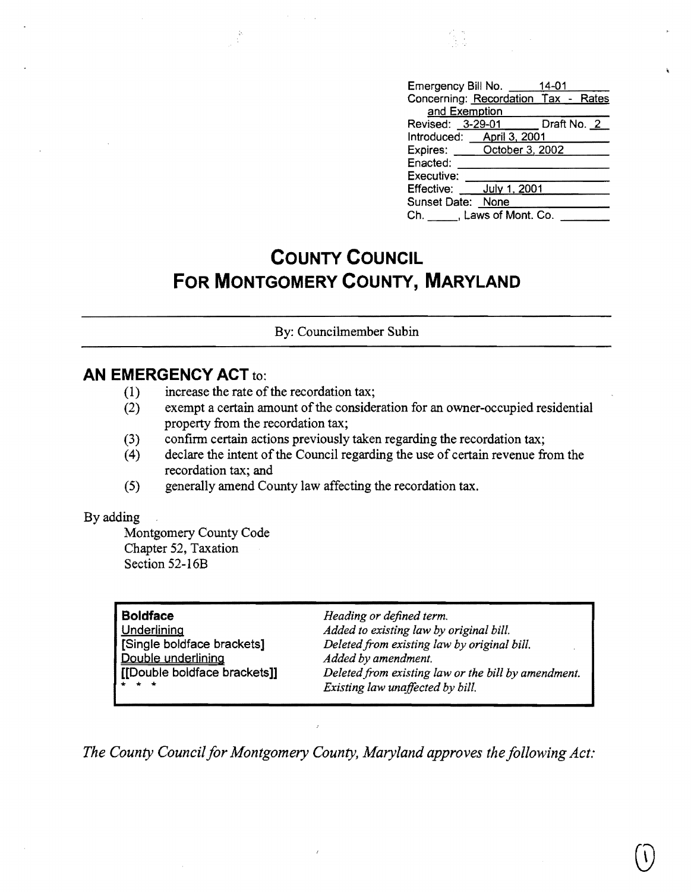| Emergency Bill No.                  |              | 14-01       |  |
|-------------------------------------|--------------|-------------|--|
| Concerning: Recordation Tax - Rates |              |             |  |
| and Exemption                       |              |             |  |
| Revised: 3-29-01                    |              | Draft No. 2 |  |
| Introduced: April 3, 2001           |              |             |  |
| Expires: October 3, 2002            |              |             |  |
| Enacted:                            |              |             |  |
| Executive:                          |              |             |  |
| <b>Effective:</b>                   | July 1, 2001 |             |  |
| Sunset Date: None                   |              |             |  |
| Ch. J. Laws of Mont. Co.            |              |             |  |

# **COUNTY COUNCIL FOR MONTGOMERY COUNTY, MARYLAND**

By: Councilmember Subin

## **AN EMERGENCY ACT** to:

- $(1)$  increase the rate of the recordation tax;
- (2) exempt a certain amount of the consideration for an owner-occupied residential property from the recordation tax;
- (3) conflrm certain actions previously taken regarding the recordation tax;
- $(4)$  declare the intent of the Council regarding the use of certain revenue from the recordation tax; and
- (5) generally amend County law affecting the recordation tax.

#### By adding

Montgomery County Code Chapter 52, Taxation Section 52-16B

**Boldface** *Heading or defined term.<br> Photonimizion <i>Added to existing law by defined* Double underlining *Added by amendment.* 

Underlining *Added to existing law by original bill.*  [Single boldface brackets] *Deleted from existing law by original bill.*   $Deleted from existing law or the bill by amendment.$ Existing law unaffected by bill.

The County Council for Montgomery County, Maryland approves the following Act: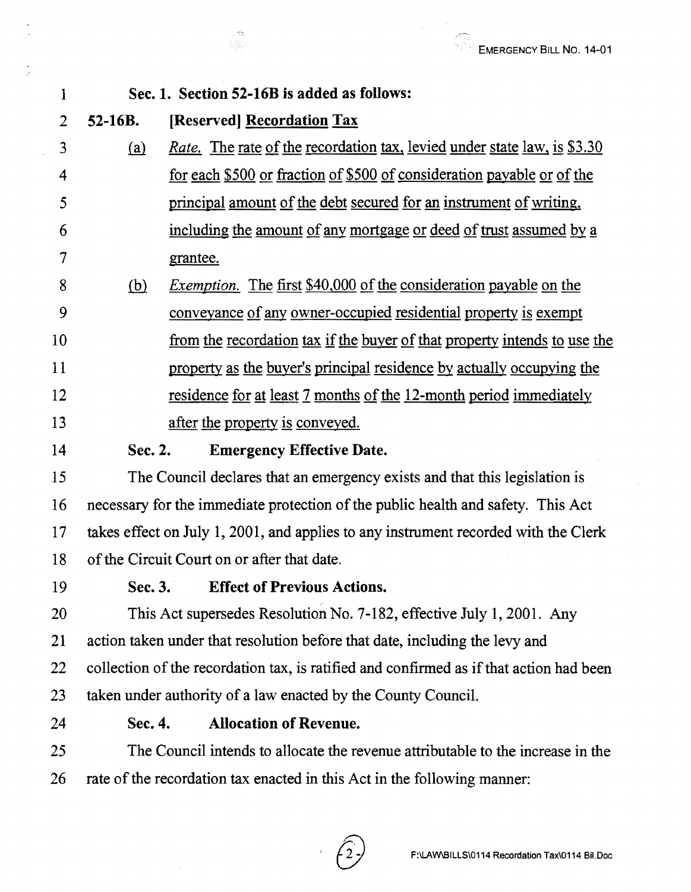| 1  |              | Sec. 1. Section 52-16B is added as follows:                                     |
|----|--------------|---------------------------------------------------------------------------------|
| 2  | $52 - 16B$ . | [Reserved] Recordation Tax                                                      |
| 3  | <u>(a)</u>   | <i>Rate.</i> The rate of the recordation tax, levied under state law, is \$3.30 |
| 4  |              | for each \$500 or fraction of \$500 of consideration payable or of the          |
| 5  |              | principal amount of the debt secured for an instrument of writing,              |
| 6  |              | including the amount of any mortgage or deed of trust assumed by a              |
| 7  |              | grantee.                                                                        |
| 8  | (b)          | <i>Exemption.</i> The first \$40,000 of the consideration payable on the        |
| 9  |              | conveyance of any owner-occupied residential property is exempt                 |
| 10 |              | from the recordation tax if the buyer of that property intends to use the       |
| 11 |              | property as the buyer's principal residence by actually occupying the           |
| 12 |              | residence for at least 7 months of the 12-month period immediately              |
| 13 |              | after the property is conveyed.                                                 |
| 14 | Sec. 2.      | <b>Emergency Effective Date.</b>                                                |

## Sec. 2. Emergency Effective Date.

15 16 17 18 The Council declares that an emergency exists and that this legislation is necessary for the immediate protection of the public health and safety. This Act takes effect on July 1,2001, and applies to any instrument recorded with the Clerk ofthe Circuit Court on or after that date.

19

## Sec. 3. Effect of Previous Actions.

20 21 22 23 This Act supersedes Resolution No. 7-182, effective July 1, 2001. Any action taken under that resolution before that date, including the levy and collection of the recordation tax, is ratified and confirmed as if that action had been taken under authority of a law enacted by the County Council.

24 Sec. 4. Allocation of Revenue.

25 26 The Council intends to allocate the revenue attributable to the increase in the rate of the recordation tax enacted in this Act in the following manner: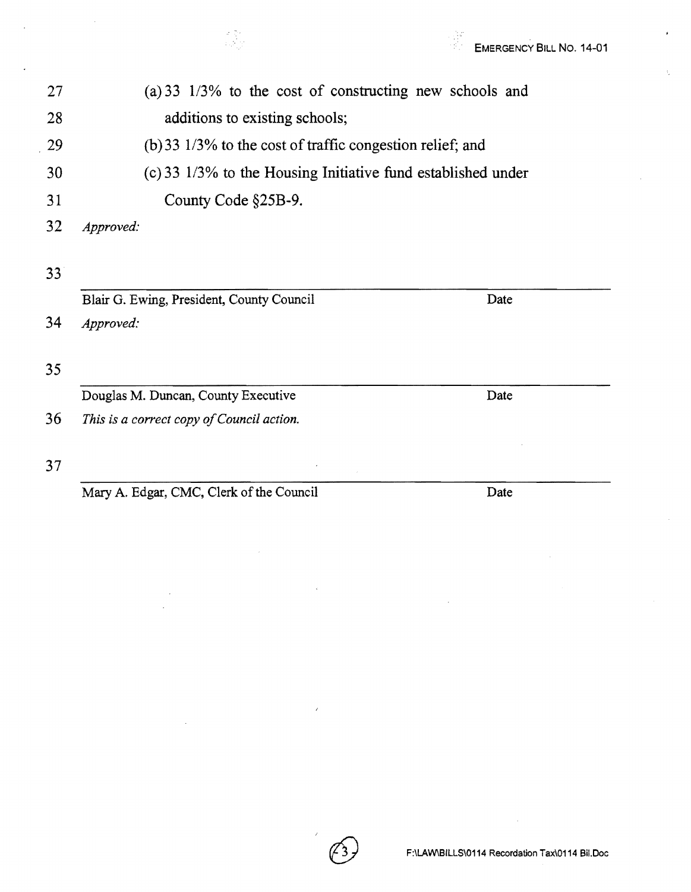| 27              | (a) 33 $1/3\%$ to the cost of constructing new schools and     |
|-----------------|----------------------------------------------------------------|
| 28              | additions to existing schools;                                 |
| 29              | (b) 33 $1/3\%$ to the cost of traffic congestion relief; and   |
| 30              | $(c)$ 33 1/3% to the Housing Initiative fund established under |
| 31              | County Code §25B-9.                                            |
| 32              | Approved:                                                      |
| 33 <sup>°</sup> |                                                                |
|                 | Blair G. Ewing, President, County Council<br>Date              |
| 34              | Approved:                                                      |
| 35              |                                                                |
|                 | Douglas M. Duncan, County Executive<br>Date                    |
| 36              | This is a correct copy of Council action.                      |
| $-$             |                                                                |

37

Mary A. Edgar, CMC, Clerk of the Council Date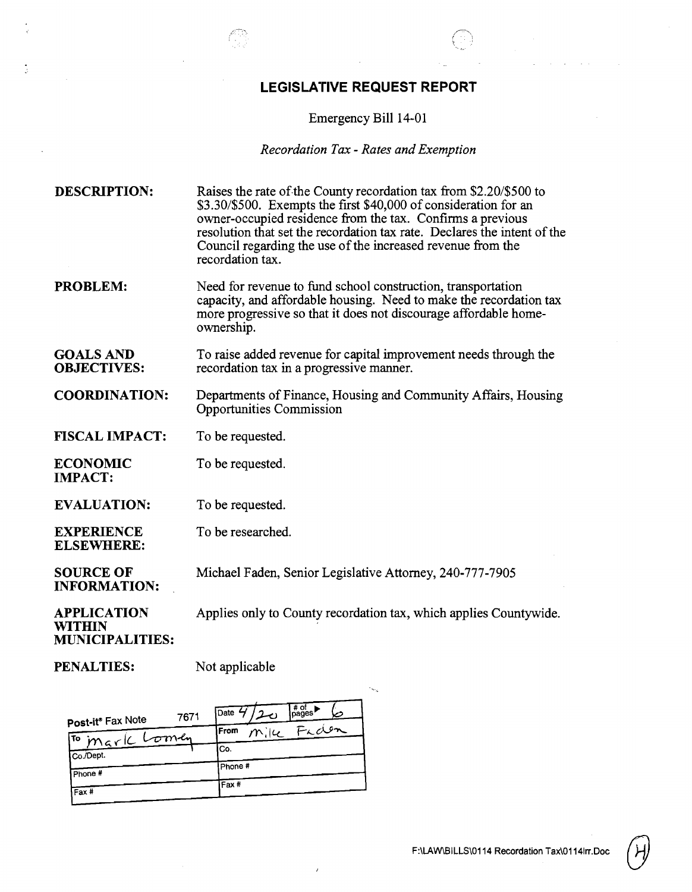## **LEGISLATIVE REQUEST REPORT**

## Emergency Bill 14-01

## *Recordation Tax* - *Rates and Exemption*

.<br>Na

| <b>DESCRIPTION:</b>                                           | Raises the rate of the County recordation tax from \$2.20/\$500 to<br>\$3.30/\$500. Exempts the first \$40,000 of consideration for an<br>owner-occupied residence from the tax. Confirms a previous<br>resolution that set the recordation tax rate. Declares the intent of the<br>Council regarding the use of the increased revenue from the<br>recordation tax. |
|---------------------------------------------------------------|---------------------------------------------------------------------------------------------------------------------------------------------------------------------------------------------------------------------------------------------------------------------------------------------------------------------------------------------------------------------|
| <b>PROBLEM:</b>                                               | Need for revenue to fund school construction, transportation<br>capacity, and affordable housing. Need to make the recordation tax<br>more progressive so that it does not discourage affordable home-<br>ownership.                                                                                                                                                |
| <b>GOALS AND</b><br><b>OBJECTIVES:</b>                        | To raise added revenue for capital improvement needs through the<br>recordation tax in a progressive manner.                                                                                                                                                                                                                                                        |
| <b>COORDINATION:</b>                                          | Departments of Finance, Housing and Community Affairs, Housing<br>Opportunities Commission                                                                                                                                                                                                                                                                          |
| <b>FISCAL IMPACT:</b>                                         | To be requested.                                                                                                                                                                                                                                                                                                                                                    |
| <b>ECONOMIC</b><br><b>IMPACT:</b>                             | To be requested.                                                                                                                                                                                                                                                                                                                                                    |
| <b>EVALUATION:</b>                                            | To be requested.                                                                                                                                                                                                                                                                                                                                                    |
| <b>EXPERIENCE</b><br><b>ELSEWHERE:</b>                        | To be researched.                                                                                                                                                                                                                                                                                                                                                   |
| <b>SOURCE OF</b><br><b>INFORMATION:</b>                       | Michael Faden, Senior Legislative Attorney, 240-777-7905                                                                                                                                                                                                                                                                                                            |
| <b>APPLICATION</b><br><b>WITHIN</b><br><b>MUNICIPALITIES:</b> | Applies only to County recordation tax, which applies Countywide.                                                                                                                                                                                                                                                                                                   |
| <b>PENALTIES:</b>                                             | Not applicable                                                                                                                                                                                                                                                                                                                                                      |

 $\frac{4}{2}$   $\frac{4}{2}$   $\frac{4}{2}$   $\frac{6}{2}$   $\frac{1}{2}$ Post-it<sup>\*</sup> Fax Note 7671 <sup>Date 4</sup>/20 To mark Lome **From** rr'<I'<... 1-"-dJ........ Co./Dept. Co. Phone # Phone # Fax # Fax #

3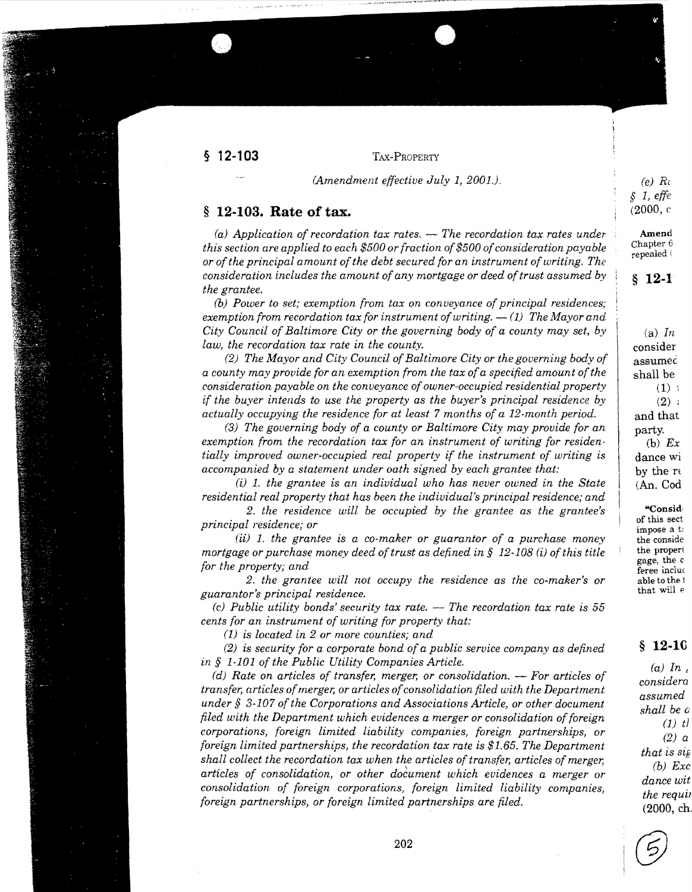### § **12-103** TAX-PROPERTY

#### *(Amendment effective July* 1, *2001.).*

#### § **12-103. Rate of tax.**

*(a) Application of recordation tax rates. — The recordation tax rates under this section are applied to each \$500 or fraction of\$500 ofconsideration payable or ofthe principal amount ofthe debt secured for an instrument ofwriting. The consideration includes the amount of any mortgage or deed of trust assumed by the grantee.* 

*(b) Power to set; exemption from tax on conveyance of principal residences; exemption from recordation tax for instrument of writing.*  $- (1)$  *The Mayor and City Council ofBaltimore City or the governing body of a county may set, by law, the recordation tax rate in the county.* 

(2) The Mayor and City Council of Baltimore City or the governing body of *a county may provide for an exemption from the tax ofa specified amount ofthe consideration payable on the conveyance ofowner-occupied residential property if the buyer intends to use the property as the buyer's principal residence by actually occupying the residence for at least* 7 *months of a 12-month period.* 

*(3) The governing body of a county or Baltimore City may provide for an exemption from the recordation tax for an instrument of writing for residentially improved owner-occupied real property if the instrument of writing is accompanied by a statement under oath signed by each grantee that:* 

*(i)* 1. *the grantee is an individual who has never owned in the State residential real property that has been the individual's principal residence; and* 

*2. the residence will be occupied by the grantee as the grantee's principal residence; or* 

(ii) 1. *the grantee is a co-maker or guarantor of a purchase money mortgage or purchase money deed of trust as defined in § 12-108 (i) of this title for the property; and* 

*2. the grantee will not occupy the residence as the co-maker's or guarantor's principal residence.* 

*(c) Public utility bonds'security tax rate.* - *The recordation tax rate is 55 cents for an instrument of writing for property that:* 

(1) *is located in* 2 *or more counties; and* 

*(2) is security for a corporate bond ofa public service company as defined in* § *1-101 of the Public Utility Companies Article.* 

*(d)* Rate on articles of transfer, merger, or consolidation. - For articles of *transfer, articles of merger, or articles of consolidation filed with the Department under* § *3-107 ofthe Corporations and Associations Article, or other document filed with the Department which evidences a merger or consolidation offoreign corporations, foreign limited liability companies, foreign partnerships, or foreign limited partnerships, the recordation tax rate is* \$1.65. *The Department shall collect the recordation tax when the articles of transfer, articles of merger, articles of consolidation, or other document which evidences a merger or consolidation of foreign corporations, foreign limited liability companies, foreign partnerships, or foreign limited partnerships are filed.* 

 $(e)$   $R_0$ § 1, *effe*  (2000, c

Amend Chapter 6 repealed (

§ **12-1** 

(a) *In*  consider assumec shall be  $(1)$  1  $(2)$  ; and that party. (b) *Ex* dance wi by the  $r \in$ (An. Cod

"Consid· of this sect impose a t; the conside the propert gage, the c feree incluc able to the t that will e

§ **12·10** 

 $(a)$  In,

*considera assumed shall be 0 (1) tl*  (2) a *that is siE (b) Exc dance wit the requil*  (2000, ch.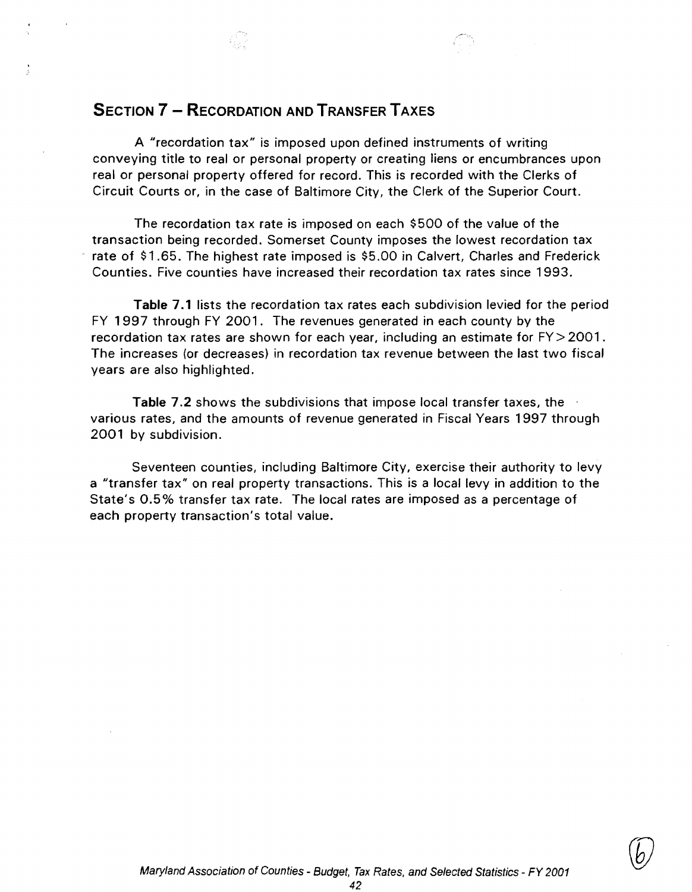## **SECTION 7 - RecoRDATION AND TRANSFER TAXES**

A "recordation tax" is imposed upon defined instruments of writing conveying title to real or personal property or creating liens or encumbrances upon real or personal property offered for record. This is recorded with the Clerks of Circuit Courts or, in the case of Baltimore City, the Clerk of the Superior Court.

The recordation tax rate is imposed on each \$500 of the value of the transaction being recorded. Somerset County imposes the lowest recordation tax rate of \$1.65. The highest rate imposed is \$5.00 in Calvert, Charles and Frederick Counties. Five counties have increased their recordation tax rates since 1993.

**Table 7.1** lists the recordation tax rates each subdivision levied for the period FY 1997 through FY 2001. The revenues generated in each county by the recordation tax rates are shown for each year, including an estimate for FY> 2001. The increases (or decreases) in recordation tax revenue between the last two fiscal years are also highlighted.

**Table 7.2** shows the subdivisions that impose local transfer taxes, the various rates, and the amounts of revenue generated in Fiscal Years 1997 through 2001 by subdivision.

Seventeen counties, including Baltimore City, exercise their authority to levy a "transfer tax" on real property transactions. This is a local levy in addition to the State's 0.5% transfer tax rate. The local rates are imposed as a percentage of each property transaction's total value.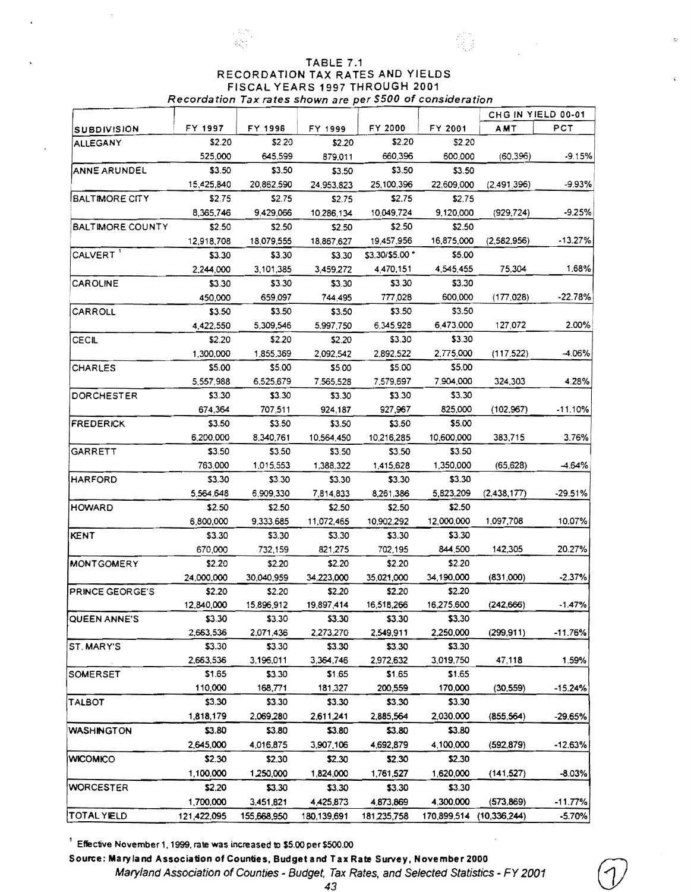

#### TABLE 7.1 RECORDATION TAX RATES AND YIELDS FISCAL YEARS 1997 THROUGH 2001 Recordation Tax rates shown are per \$500 of consideration

à g

 $\psi$ 

|                        |             |             |             |                  |             |                | CHG IN YIELD 00-01 |
|------------------------|-------------|-------------|-------------|------------------|-------------|----------------|--------------------|
| <b>SUBDIVISION</b>     | FY 1997     | FY 1998     | FY 1999     | FY 2000          | FY 2001     | <b>AMT</b>     | PCT                |
| <b>ALLEGANY</b>        | \$2.20      | \$2.20      | \$2.20      | \$2.20           | \$2.20      |                |                    |
|                        | 525,000     | 645,599     | 879,011     | 660,396          | 600,000     | (60.396)       | $-9.15%$           |
| <b>ANNE ARUNDEL</b>    | \$3.50      | \$3.50      | \$3.50      | \$3.50           | \$3.50      |                |                    |
|                        | 15,425,840  | 20,862,590  | 24.953.823  | 25,100,396       | 22.609.000  | (2,491,396)    | $-9.93%$           |
| BALTIMORE CITY         | \$2.75      | \$2.75      | \$2.75      | \$2.75           | \$2.75      |                |                    |
|                        | 8,365,746   | 9,429,066   | 10,286,134  | 10,049,724       | 9,120,000   | (929, 724)     | $-9.25%$           |
| BALTIMORE COUNTY       | \$2.50      | \$2.50      | \$2.50      | \$2.50           | \$2.50      |                |                    |
|                        | 12,918,708  | 18,079,555  | 18,867,627  | 19,457,956       | 16,875,000  | (2,582.956)    | $-13.27%$          |
| CALVERT <sup>1</sup>   | \$3.30      | \$3.30      | \$3.30      | \$3,30/\$5,00 ** | \$5.00      |                |                    |
|                        | 2,244,000   | 3,101,385   | 3,459,272   | 4,470,151        | 4,545,455   | 75,304         | 1.68%              |
| CAROLINE               | \$3.30      | \$3.30      | \$3.30      | \$3.30           | \$3.30      |                |                    |
|                        | 450,000     | 659,097     | 744,495     | 777,028          | 600,000     | (177.028)      | $-22.78%$          |
| CARROLL                | \$3.50      | \$3.50      | \$3.50      | \$3.50           | \$3.50      |                |                    |
|                        | 4,422,550   | 5,309,546   | 5.997,750   | 6,345,928        | 6,473,000   | 127,072        | 2.00%              |
| <b>CECIL</b>           | \$2.20      | \$2.20      | \$2.20      | \$3.30           | \$3.30      |                |                    |
|                        | 1,300,000   | 1,855,369   | 2.092,542   | 2,892,522        | 2,775,000   | (117, 522)     | $-4.06%$           |
| <b>CHARLES</b>         | \$5.00      | \$5.00      | \$5.00      | \$5.00           | \$5.00      |                |                    |
|                        | 5,557,988   | 6.525.679   | 7.565.528   | 7,579,697        | 7,904,000   | 324,303        | 4.28%              |
| <b>DORCHESTER</b>      | \$3.30      | \$3.30      | \$3.30      | \$3.30           | \$3.30      |                |                    |
|                        | 674,364     | 707,511     | 924,187     | 927,967          | 825,000     | (102.967)      | $-11.10%$          |
| <b>FREDERICK</b>       | \$3.50      | \$3.50      | \$3.50      | \$3.50           | \$5.00      |                |                    |
|                        | 6,200,000   | 8,340,761   | 10.564,450  | 10,216,285       | 10,600,000  | 383,715        | 3.76%              |
| GARRETT                | \$3.50      | \$3.50      | \$3.50      | \$3.50           | \$3.50      |                |                    |
|                        | 763,000     | 1,015,553   | 1,388,322   | 1,415,628        | 1,350,000   | (65, 628)      | -4.64%             |
| <b>HARFORD</b>         | \$3.30      | \$3.30      | \$3.30      | \$3.30           | \$3.30      |                |                    |
|                        | 5,564,648   | 6,909,330   | 7,814,833   | 8,261,386        | 5,823,209   | (2.438, 177)   | $-29.51%$          |
| <b>HOWARD</b>          | \$2.50      | \$2.50      | \$2.50      | \$2.50           | \$2.50      |                |                    |
|                        | 6,800,000   | 9,333,685   | 11,072,465  | 10,902,292       | 12,000,000  | 1,097,708      | 10.07%             |
| KENT                   | \$3.30      | \$3.30      | \$3.30      | \$3.30           | \$3.30      |                |                    |
|                        | 670,000     | 732,159     | 821,275     | 702.195          | 844,500     | 142,305        | 20.27%             |
| <b>MONTGOMERY</b>      | \$2.20      | \$2.20      | \$2.20      | \$2.20           | \$2.20      |                |                    |
|                        | 24.000.000  | 30,040,959  | 34,223,000  | 35,021,000       | 34,190,000  | (831,000)      | $-2.37%$           |
| <b>PRINCE GEORGE'S</b> | \$2.20      | \$2.20      | \$2.20      | \$2.20           | \$2.20      |                |                    |
|                        | 12,840,000  | 15,896,912  | 19,897,414  | 16,518,266       | 16,275,600  | (242, 666)     | $-1.47%$           |
| <b>QUEEN ANNE'S</b>    | \$3.30      | \$3.30      | \$3.30      | \$3.30           | \$3.30      |                |                    |
|                        | 2,663,536   | 2.071.436   | 2,273,270   | 2,549,911        | 2,250,000   | (299.911)      | $-11.76%$          |
| ST. MARY'S             | \$3.30      | \$3.30      | \$3.30      | \$3.30           | \$3.30      |                |                    |
|                        | 2,663,536   | 3,196,011   | 3,364,746   | 2,972,632        | 3,019,750   | 47,118         | 1.59%              |
| <b>SOMERSET</b>        | \$1.65      | \$3.30      | \$1.65      | \$1.65           | \$1.65      |                |                    |
|                        | 110,000     | 168,771     | 181,327     | 200,559          | 170,000     | (30, 559)      | $-15.24%$          |
| TALBOT                 | \$3.30      | \$3.30      | \$3.30      | \$3.30           | \$3.30      |                |                    |
|                        | 1,818,179   | 2,069,280   | 2,611,241   | 2,885,564        | 2,030,000   | (855, 564)     | -29.65%            |
| <b>WASHINGTON</b>      | \$3.80      | \$3.80      | \$3.80      | \$3.80           | \$3.80      |                |                    |
|                        | 2,645,000   | 4,016,875   | 3,907,106   | 4,692,879        | 4,100,000   | (592, 879)     | $-12.63%$          |
| <b>WICOMICO</b>        | \$2.30      | \$2.30      | \$2.30      | \$2.30           | \$2.30      |                |                    |
|                        | 1,100,000   | 1,250,000   | 1,824,000   | 1,761,527        | 1,620,000   | (141, 527)     | $-8.03%$           |
| WORCESTER              | \$2.20      | \$3.30      | \$3.30      | \$3.30           | \$3.30      |                |                    |
|                        | 1,700,000   | 3,451,821   | 4,425,873   | 4,873,869        | 4,300,000   | (573,869)      | $-11.77%$          |
| <b>TOTAL YIELD</b>     | 121,422,095 | 155,668,950 | 180,139,691 | 181,235,758      | 170,899,514 | (10, 336, 244) | $-5.70%$           |

 $^1$  Effective November 1, 1999, rate was increased to \$5.00 per \$500.00

Source: Maryland Association of Counties, Budget and Tax Rate Survey, November 2000

Maryland Association of Counties - Budget. Tax Rates, and Selected Statistics - FY 2001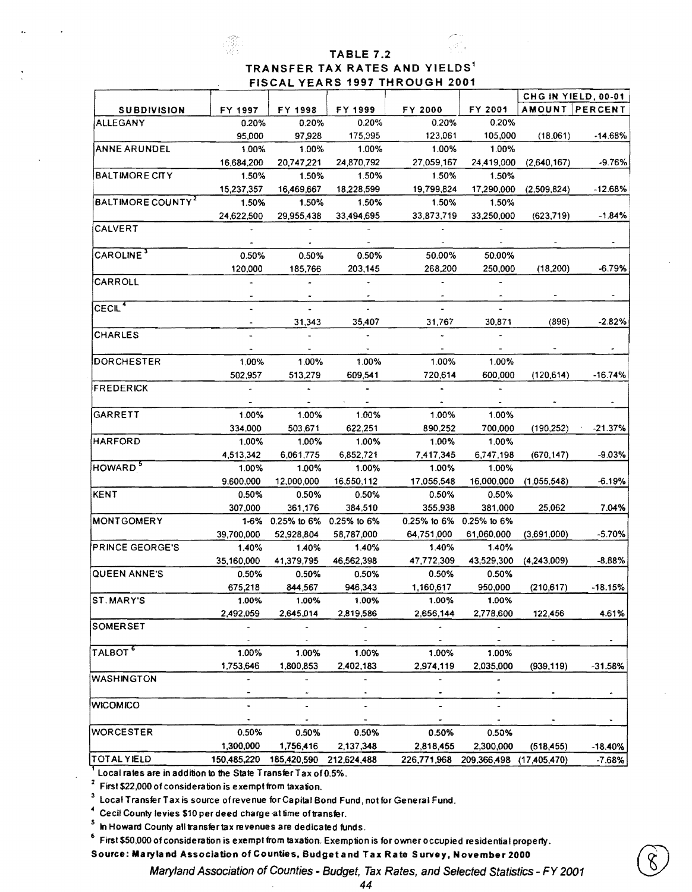#### TABLE 7.2 TRANSFER TAX RATES AND YIELDS<sup>1</sup> FISCAL YEARS 1997 THROUGH 2001

|                                      |             |                |                |                     |                          |                | CHG IN YIELD, 00-01 |
|--------------------------------------|-------------|----------------|----------------|---------------------|--------------------------|----------------|---------------------|
| <b>SUBDIVISION</b>                   | FY 1997     | FY 1998        | FY 1999        | FY 2000             | FY 2001                  | AMOUNT PERCENT |                     |
| ALLEGANY                             | 0.20%       | 0.20%          | 0.20%          | 0.20%               | 0.20%                    |                |                     |
|                                      | 95,000      | 97,928         | 175,995        | 123,061             | 105,000                  | (18.061)       | $-14.68%$           |
| <b>ANNE ARUNDEL</b>                  | 1.00%       | 1.00%          | 1.00%          | 1.00%               | 1.00%                    |                |                     |
|                                      | 16,684,200  | 20,747,221     | 24,870,792     | 27,059,167          | 24,419,000               | (2,640,167)    | $-9.76%$            |
| <b>BALTIMORE CITY</b>                | 1.50%       | 1.50%          | 1.50%          | 1.50%               | 1.50%                    |                |                     |
|                                      | 15,237,357  | 16,469,667     | 18,228,599     | 19,799,824          | 17,290,000               | (2,509,824)    | $-12.68%$           |
| <b>BALTIMORE COUNTY</b> <sup>2</sup> | 1.50%       | 1.50%          | 1.50%          | 1.50%               | 1.50%                    |                |                     |
|                                      | 24,622,500  | 29,955,438     | 33,494,695     | 33,873,719          | 33,250,000               | (623, 719)     | $-1.84%$            |
| <b>CALVERT</b>                       |             |                |                |                     |                          |                |                     |
|                                      |             |                |                |                     |                          |                |                     |
| CAROLINE <sup>3</sup>                | 0.50%       | 0.50%          | 0.50%          | 50.00%              | 50.00%                   |                |                     |
|                                      | 120,000     | 185,766        | 203,145        | 268,200             | 250,000                  | (18, 200)      | $-6.79%$            |
| CARROLL                              |             |                |                |                     |                          |                |                     |
|                                      |             |                |                |                     |                          |                |                     |
| CECIL <sup>4</sup>                   |             |                |                |                     |                          |                |                     |
|                                      |             | 31,343         | 35,407         | 31,767              | 30,871                   | (896)          | $-2.82%$            |
| <b>CHARLES</b>                       |             |                |                |                     |                          |                |                     |
|                                      |             |                |                |                     |                          |                |                     |
| <b>DORCHESTER</b>                    | 1.00%       | 1.00%          | 1.00%          | 1.00%               | 1.00%                    |                |                     |
|                                      | 502.957     | 513,279        | 609,541        | 720,614             | 600.000                  | (120.614)      | $-16.74%$           |
| <b>FREDERICK</b>                     |             |                |                |                     |                          |                |                     |
|                                      |             |                |                |                     |                          |                |                     |
| GARRETT                              | 1.00%       | 1.00%          | 1.00%          | 1.00%               | 1.00%                    |                |                     |
|                                      | 334,000     | 503,671        | 622,251        | 890,252             | 700,000                  | (190, 252)     | -21.37%             |
| <b>HARFORD</b>                       | 1.00%       | 1.00%          | 1.00%          | 1.00%               | 1.00%                    |                |                     |
|                                      | 4,513,342   | 6,061,775      | 6,852,721      | 7,417,345           | 6,747,198                | (670, 147)     | -9.03%              |
| HOWARD <sup>5</sup>                  | 1.00%       | 1.00%          | 1.00%          | 1.00%               | 1.00%                    |                |                     |
|                                      | 9,600,000   | 12,000,000     | 16,550,112     | 17,055,548          | 16,000,000               | (1,055,548)    | $-6.19%$            |
| <b>KENT</b>                          | 0.50%       | 0.50%          | 0.50%          | 0.50%               | 0.50%                    |                |                     |
|                                      | 307,000     | 361,176        | 384,510        | 355,938             | 381,000                  | 25,062         | 7.04%               |
| <b>MONTGOMERY</b>                    | $1-6%$      | 0.25% to 6%    | 0.25% to 6%    | 0.25% to 6%         | 0.25% to 6%              |                |                     |
|                                      | 39,700,000  | 52,928,804     | 58,787,000     | 64,751,000          | 61,060,000               | (3,691,000)    | $-5.70%$            |
| <b>PRINCE GEORGE'S</b>               | 1.40%       | 1.40%          | 1.40%          | 1.40%               | 1.40%                    |                |                     |
|                                      | 35,160,000  | 41,379,795     | 46,562.398     | 47,772,309          | 43,529,300               | (4,243,009)    | $-8.88%$            |
| <b>QUEEN ANNE'S</b>                  | 0.50%       | 0.50%          | 0.50%          | 0.50%               | 0.50%                    |                |                     |
|                                      | 675,218     | 844,567        | 946,343        | 1,160,617           | 950,000                  | (210, 617)     | $-18.15%$           |
| ST. MARY'S                           | 1.00%       | 1.00%          | 1.00%          | 1.00%               | 1.00%                    |                |                     |
|                                      | 2.492,059   | 2,645,014      | 2,819,586      | 2,656,144           | 2,778,600                | 122,456        | 4.61%               |
| <b>SOMERSET</b>                      |             | $\blacksquare$ | $\blacksquare$ | $\hat{\phantom{a}}$ | $\blacksquare$           |                |                     |
| TALBOT <sup>6</sup>                  |             |                |                |                     |                          |                |                     |
|                                      | 1.00%       | 1.00%          | 1.00%          | 1.00%               | 1.00%                    |                |                     |
|                                      | 1,753,646   | 1,800,853      | 2,402,183      | 2,974,119           | 2,035,000                | (939, 119)     | $-31.58%$           |
| WASHINGTON                           |             |                |                |                     |                          |                |                     |
| <b>WICOMICO</b>                      |             |                |                |                     |                          |                | ۰                   |
|                                      |             |                |                |                     |                          |                |                     |
| <b>WORCESTER</b>                     | 0.50%       |                |                |                     |                          |                | ۰                   |
|                                      |             | 0.50%          | 0.50%          | 0.50%               | 0.50%                    |                |                     |
|                                      | 1,300,000   | 1,756,416      | 2,137,348      | 2,818,455           | 2,300,000                | (518, 455)     | $-18.40%$           |
| <b>TOTAL YIELD</b>                   | 150,485,220 | 185,420,590    | 212,624,488    | 226,771,968         | 209,366,498 (17,405,470) |                | $-7.68%$            |

 $T$  Local rates are in addition to the State Transfer Tax of 0.5%.

 $2F$  First \$22,000 of consideration is exempt from taxation.

<sup>3</sup>Local TransferTax is source of revenue for Capital Bond Fund, notfor General Fund.

 $4$  Cecil County levies \$10 per deed charge at time of transfer.

5 In Howard County alilransfertax revenues are dedicated funds.

<sup>6</sup>First \$50,000 of consideration is exempt from taxation. Exemption is for owner occupied residential property.

Source: Maryla nd Association of Counties, Budget a nd Tax Rate Survey. November 2000

Maryland Association of Counties· Budget, Tax Rates, and Selected Statistics - FY 2001